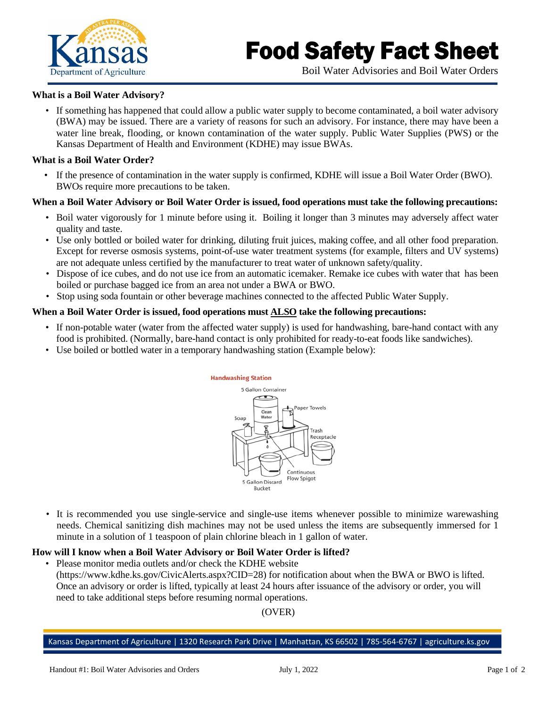

# Food Safety Fact Sheet

Boil Water Advisories and Boil Water Orders

### **What is a Boil Water Advisory?**

• If something has happened that could allow a public water supply to become contaminated, a boil water advisory (BWA) may be issued. There are a variety of reasons for such an advisory. For instance, there may have been a water line break, flooding, or known contamination of the water supply. Public Water Supplies (PWS) or the Kansas Department of Health and Environment (KDHE) may issue BWAs.

## **What is a Boil Water Order?**

• If the presence of contamination in the water supply is confirmed, KDHE will issue a Boil Water Order (BWO). BWOs require more precautions to be taken.

## **When a Boil Water Advisory or Boil Water Order is issued, food operations must take the following precautions:**

- Boil water vigorously for 1 minute before using it. Boiling it longer than 3 minutes may adversely affect water quality and taste.
- Use only bottled or boiled water for drinking, diluting fruit juices, making coffee, and all other food preparation. Except for reverse osmosis systems, point-of-use water treatment systems (for example, filters and UV systems) are not adequate unless certified by the manufacturer to treat water of unknown safety/quality.
- Dispose of ice cubes, and do not use ice from an automatic icemaker. Remake ice cubes with water that has been boiled or purchase bagged ice from an area not under a BWA or BWO.
- Stop using soda fountain or other beverage machines connected to the affected Public Water Supply.

## **When a Boil Water Order is issued, food operations must ALSO take the following precautions:**

- If non-potable water (water from the affected water supply) is used for handwashing, bare-hand contact with any food is prohibited. (Normally, bare-hand contact is only prohibited for ready-to-eat foods like sandwiches).
- Use boiled or bottled water in a temporary handwashing station (Example below):



• It is recommended you use single-service and single-use items whenever possible to minimize warewashing needs. Chemical sanitizing dish machines may not be used unless the items are subsequently immersed for 1 minute in a solution of 1 teaspoon of plain chlorine bleach in 1 gallon of water.

#### **How will I know when a Boil Water Advisory or Boil Water Order is lifted?**

• Please monitor media outlets and/or check the KDHE website (https://www.kdhe.ks.gov/CivicAlerts.aspx?CID=28) for notification about when the BWA or BWO is lifted. Once an advisory or order is lifted, typically at least 24 hours after issuance of the advisory or order, you will need to take additional steps before resuming normal operations.

# (OVER)

#### Kansas Department of Agriculture | 1320 Research Park Drive | Manhattan, KS 66502 | 785-564-6767 | agriculture.ks.gov